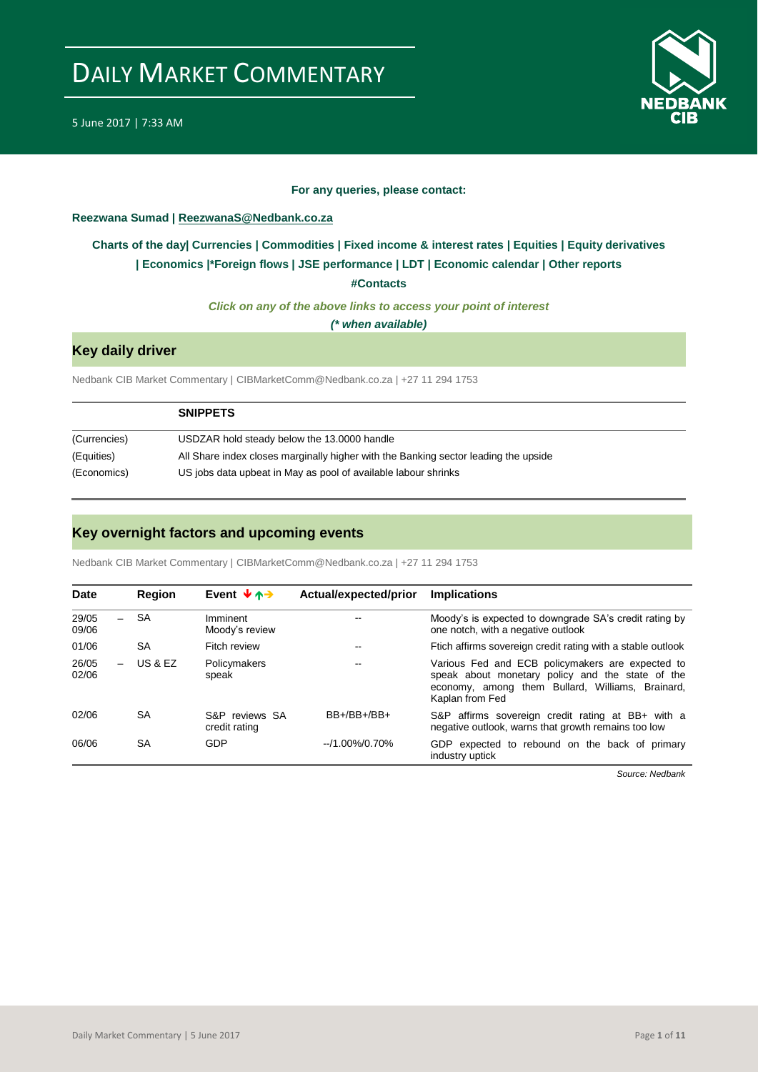

#### **For any queries, please contact:**

#### <span id="page-0-0"></span>**Reezwana Sumad | ReezwanaS@Nedbank.co.za**

## **Charts of the day| [Currencies](#page-1-0) [| Commodities](#page-2-0) | [Fixed income &](#page-3-0) interest rates | [Equities](#page-4-0) | Equity derivatives | [Economics](#page-5-0) |\*Foreign flows | [JSE performance](#page-6-0) | [LDT](#page-7-0) | [Economic calendar](#page-8-0) | Other reports**

**[#Contacts](#page-9-0)**

*Click on any of the above links to access your point of interest*

*(\* when available)*

### **Key daily driver**

Nedbank CIB Market Commentary | CIBMarketComm@Nedbank.co.za | +27 11 294 1753

|              | <b>SNIPPETS</b>                                                                     |
|--------------|-------------------------------------------------------------------------------------|
| (Currencies) | USDZAR hold steady below the 13.0000 handle                                         |
| (Equities)   | All Share index closes marginally higher with the Banking sector leading the upside |
| (Economics)  | US jobs data upbeat in May as pool of available labour shrinks                      |

## **Key overnight factors and upcoming events**

Nedbank CIB Market Commentary | CIBMarketComm@Nedbank.co.za | +27 11 294 1753

| <b>Date</b>    |   | Region    | Event $\forall$ $\land \rightarrow$ | Actual/expected/prior | <b>Implications</b>                                                                                                                                                         |
|----------------|---|-----------|-------------------------------------|-----------------------|-----------------------------------------------------------------------------------------------------------------------------------------------------------------------------|
| 29/05<br>09/06 | - | SA        | Imminent<br>Moody's review          | --                    | Moody's is expected to downgrade SA's credit rating by<br>one notch, with a negative outlook                                                                                |
| 01/06          |   | <b>SA</b> | Fitch review                        | --                    | Ftich affirms sovereign credit rating with a stable outlook                                                                                                                 |
| 26/05<br>02/06 |   | US & EZ   | Policymakers<br>speak               | $-$                   | Various Fed and ECB policymakers are expected to<br>speak about monetary policy and the state of the<br>economy, among them Bullard, Williams, Brainard,<br>Kaplan from Fed |
| 02/06          |   | <b>SA</b> | S&P reviews SA<br>credit rating     | $BB+/BB+/BB+$         | S&P affirms sovereign credit rating at BB+ with a<br>negative outlook, warns that growth remains too low                                                                    |
| 06/06          |   | SA        | GDP                                 | $-1.00\%/0.70\%$      | GDP expected to rebound on the back of primary<br>industry uptick                                                                                                           |

*Source: Nedbank*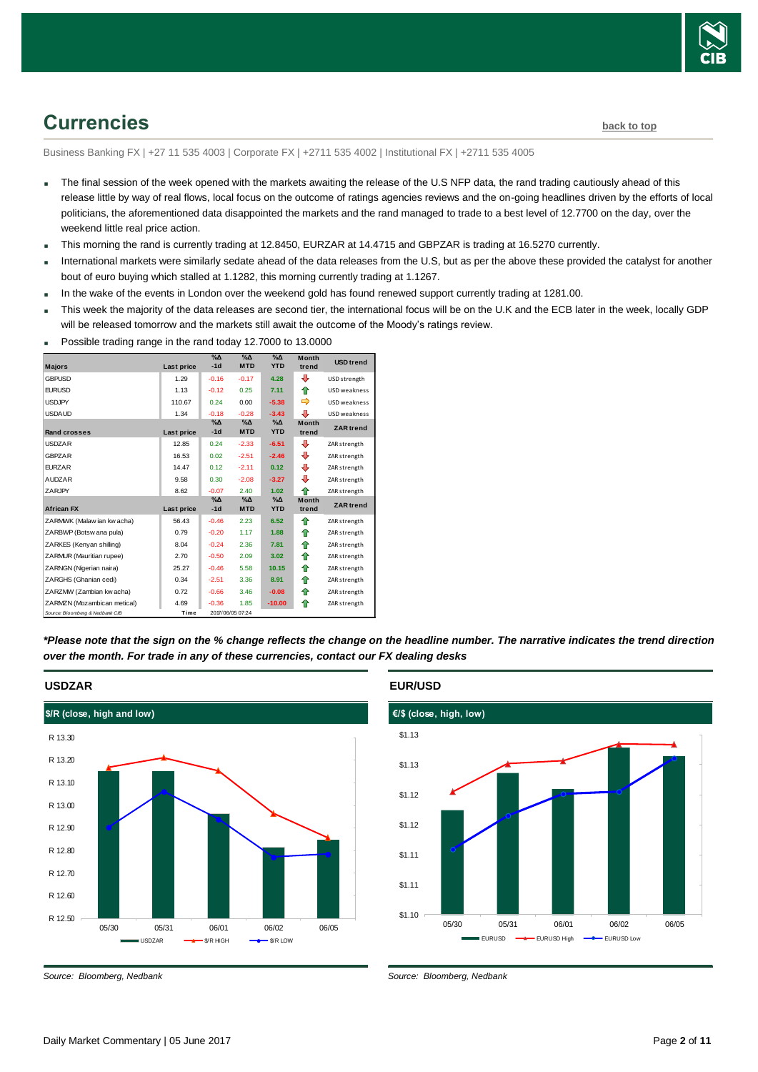

## <span id="page-1-0"></span>**Currencies [back to top](#page-0-0)**

Business Banking FX | +27 11 535 4003 | Corporate FX | +2711 535 4002 | Institutional FX | +2711 535 4005

- The final session of the week opened with the markets awaiting the release of the U.S NFP data, the rand trading cautiously ahead of this release little by way of real flows, local focus on the outcome of ratings agencies reviews and the on-going headlines driven by the efforts of local politicians, the aforementioned data disappointed the markets and the rand managed to trade to a best level of 12.7700 on the day, over the weekend little real price action.
- This morning the rand is currently trading at 12.8450, EURZAR at 14.4715 and GBPZAR is trading at 16.5270 currently.
- International markets were similarly sedate ahead of the data releases from the U.S, but as per the above these provided the catalyst for another bout of euro buying which stalled at 1.1282, this morning currently trading at 1.1267.
- In the wake of the events in London over the weekend gold has found renewed support currently trading at 1281.00.
- This week the majority of the data releases are second tier, the international focus will be on the U.K and the ECB later in the week, locally GDP will be released tomorrow and the markets still await the outcome of the Moody's ratings review.
- Possible trading range in the rand today 12.7000 to 13.0000

|                                 |            | $\%$ $\Delta$          | $\sqrt{\Delta}$             | $\%$ $\Delta$               | <b>Month</b>          | <b>USD</b> trend |
|---------------------------------|------------|------------------------|-----------------------------|-----------------------------|-----------------------|------------------|
| <b>Majors</b>                   | Last price | $-1d$                  | <b>MTD</b>                  | <b>YTD</b>                  | trend                 |                  |
| <b>GBPUSD</b>                   | 1.29       | $-0.16$                | $-0.17$                     | 4.28                        | ⊕                     | USD strength     |
| <b>EURUSD</b>                   | 1.13       | $-0.12$                | 0.25                        | 7.11                        | ⇑                     | USD weakness     |
| <b>USDJPY</b>                   | 110.67     | 0.24                   | 0.00                        | $-5.38$                     | ⇛                     | USD weakness     |
| <b>USDAUD</b>                   | 1.34       | $-0.18$                | $-0.28$                     | $-3.43$                     | J                     | USD weakness     |
| <b>Rand crosses</b>             | Last price | $\%$ $\Delta$<br>$-1d$ | $\%$ $\Delta$<br><b>MTD</b> | $\%$ $\Delta$<br><b>YTD</b> | <b>Month</b><br>trend | <b>ZAR</b> trend |
| <b>USDZAR</b>                   | 12.85      | 0.24                   | $-2.33$                     | $-6.51$                     | ⊕                     | ZAR strength     |
| <b>GBPZAR</b>                   | 16.53      | 0.02                   | $-2.51$                     | $-2.46$                     | ⊕                     | ZAR strength     |
| <b>EURZAR</b>                   | 14.47      | 0.12                   | $-2.11$                     | 0.12                        | ⊕                     | ZAR strength     |
| <b>AUDZAR</b>                   | 9.58       | 0.30                   | $-2.08$                     | $-3.27$                     | ⊕                     | ZAR strength     |
| ZARJPY                          | 8.62       | $-0.07$                | 2.40                        | 1.02                        | ♠                     | ZAR strength     |
| <b>African FX</b>               | Last price | $\%$ $\Delta$<br>$-1d$ | $\%$ $\Delta$<br><b>MTD</b> | $\%$ $\Delta$<br><b>YTD</b> | <b>Month</b><br>trend | <b>ZAR</b> trend |
| ZARMWK (Malaw ian kw acha)      | 56.43      | $-0.46$                | 2.23                        | 6.52                        | ⇑                     | ZAR strength     |
| ZARBWP (Botsw ana pula)         | 0.79       | $-0.20$                | 1.17                        | 1.88                        | ♠                     | ZAR strength     |
| ZARKES (Kenyan shilling)        | 8.04       | $-0.24$                | 2.36                        | 7.81                        | ⇑                     | ZAR strength     |
| ZARMUR (Mauritian rupee)        | 2.70       | $-0.50$                | 2.09                        | 3.02                        | ⇑                     | ZAR strength     |
| ZARNGN (Nigerian naira)         | 25.27      | $-0.46$                | 5.58                        | 10.15                       | ♠                     | ZAR strength     |
| ZARGHS (Ghanian cedi)           | 0.34       | $-2.51$                | 3.36                        | 8.91                        | ⇑                     | ZAR strength     |
| ZARZMW (Zambian kw acha)        | 0.72       | $-0.66$                | 3.46                        | $-0.08$                     | ⇑                     | ZAR strength     |
| ZARMZN (Mozambican metical)     | 4.69       | $-0.36$                | 1.85                        | $-10.00$                    | ♠                     | ZAR strength     |
| Source: Bloomberg & Nedbank CIB | Time       |                        | 2017/06/05 07:24            |                             |                       |                  |

*\*Please note that the sign on the % change reflects the change on the headline number. The narrative indicates the trend direction over the month. For trade in any of these currencies, contact our FX dealing desks*



#### **USDZAR**

*Source: Bloomberg, Nedbank*

**EUR/USD**



*Source: Bloomberg, Nedbank*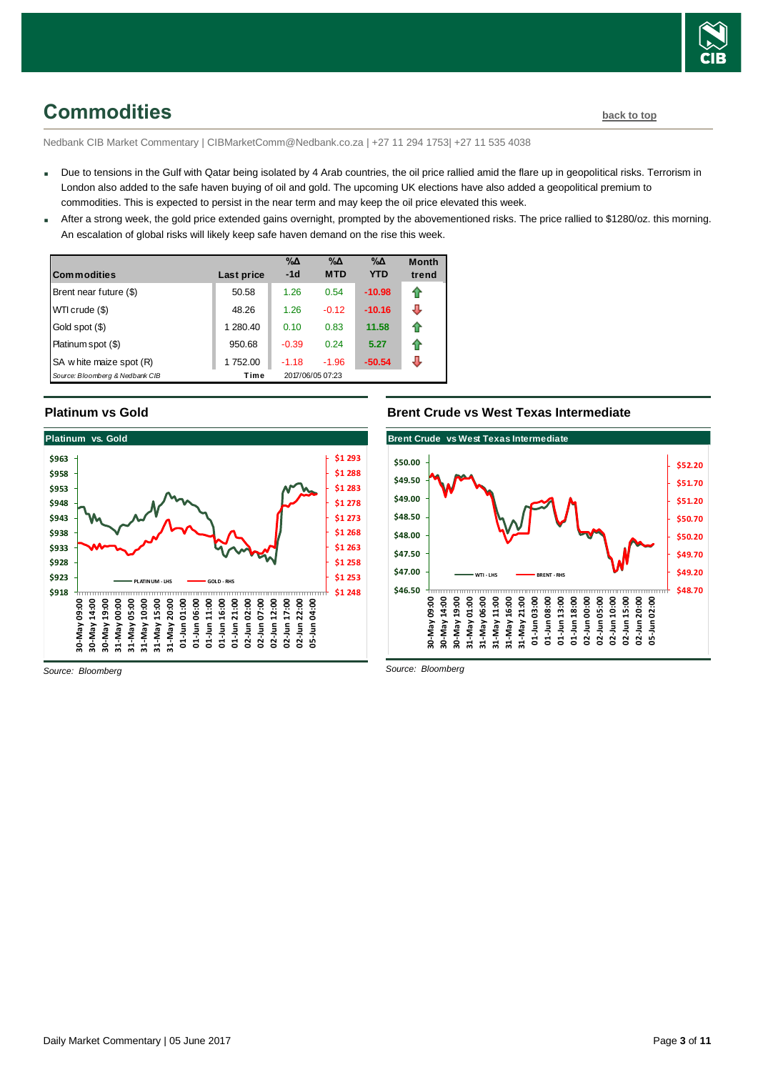

## <span id="page-2-0"></span>**Commodities [back to top](#page-0-0)**

Nedbank CIB Market Commentary | CIBMarketComm@Nedbank.co.za | +27 11 294 1753| +27 11 535 4038

- Due to tensions in the Gulf with Qatar being isolated by 4 Arab countries, the oil price rallied amid the flare up in geopolitical risks. Terrorism in London also added to the safe haven buying of oil and gold. The upcoming UK elections have also added a geopolitical premium to commodities. This is expected to persist in the near term and may keep the oil price elevated this week.
- After a strong week, the gold price extended gains overnight, prompted by the abovementioned risks. The price rallied to \$1280/oz. this morning. An escalation of global risks will likely keep safe haven demand on the rise this week.

| <b>Commodities</b>              | Last price | $\% \Delta$<br>$-1d$ | %Δ<br><b>MTD</b> | $\% \Delta$<br><b>YTD</b> | <b>Month</b><br>trend |
|---------------------------------|------------|----------------------|------------------|---------------------------|-----------------------|
| Brent near future (\$)          | 50.58      | 1.26                 | 0.54             | $-10.98$                  | t                     |
| WTI crude (\$)                  | 48.26      | 1.26                 | $-0.12$          | $-10.16$                  | J                     |
| Gold spot (\$)                  | 1 280.40   | 0.10                 | 0.83             | 11.58                     | fr                    |
| Platinum spot (\$)              | 950.68     | $-0.39$              | 0.24             | 5.27                      | 1                     |
| SA w hite maize spot (R)        | 1752.00    | $-1.18$              | $-1.96$          | $-50.54$                  |                       |
| Source: Bloomberg & Nedbank CIB | Time       |                      | 2017/06/05 07:23 |                           |                       |

#### **Platinum vs Gold**



#### **Brent Crude vs West Texas Intermediate**



*Source: Bloomberg*

*Source: Bloomberg*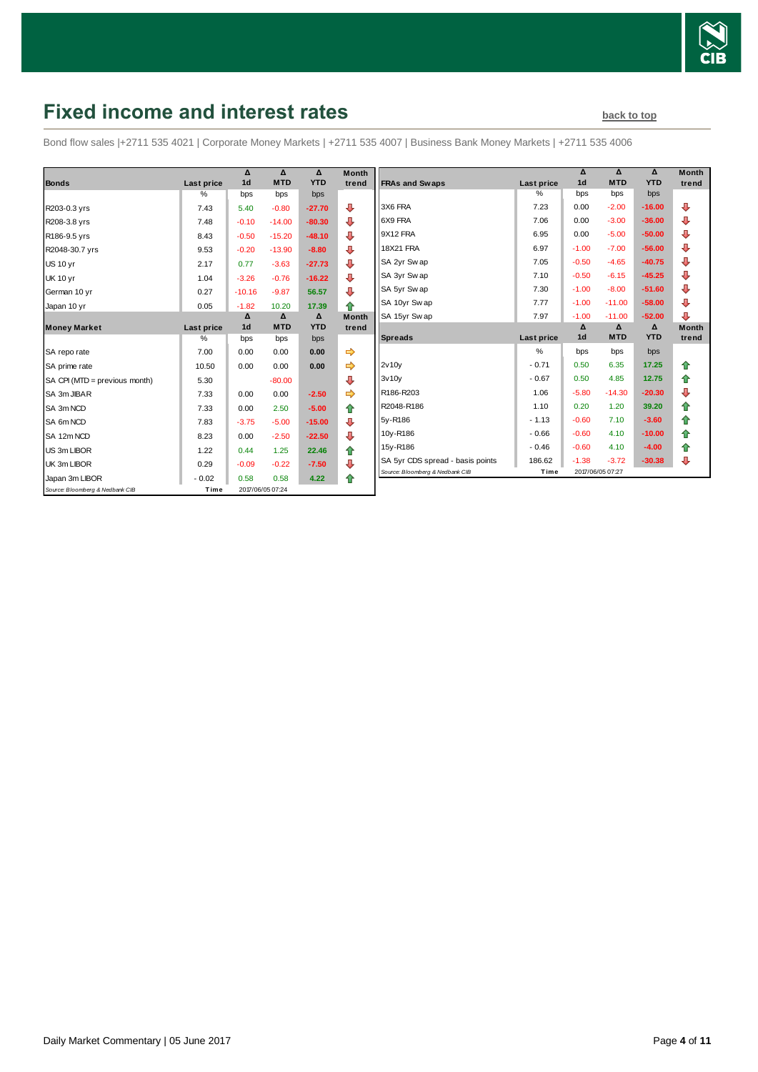

## <span id="page-3-0"></span>**Fixed income and interest rates back to the [back to top](#page-0-0)**

Bond flow sales |+2711 535 4021 | Corporate Money Markets | +2711 535 4007 | Business Bank Money Markets | +2711 535 4006

|                                 |                    | Δ<br>1 <sub>d</sub> | Δ<br><b>MTD</b>  | Δ<br><b>YTD</b> | <b>Month</b> |
|---------------------------------|--------------------|---------------------|------------------|-----------------|--------------|
| <b>Bonds</b>                    | Last price<br>$\%$ | bps                 | bps              | bps             | trend        |
|                                 |                    |                     |                  |                 |              |
| R203-0.3 yrs                    | 7.43               | 5.40                | $-0.80$          | $-27.70$        | ⊕            |
| R208-3.8 yrs                    | 7.48               | $-0.10$             | $-14.00$         | $-80.30$        | ⊕            |
| R186-9.5 yrs                    | 8.43               | $-0.50$             | $-15.20$         | $-48.10$        | ⊕            |
| R2048-30.7 yrs                  | 9.53               | $-0.20$             | $-13.90$         | $-8.80$         | ⊕            |
| <b>US 10 yr</b>                 | 2.17               | 0.77                | $-3.63$          | $-27.73$        | ⊕            |
| <b>UK 10 yr</b>                 | 1.04               | $-3.26$             | $-0.76$          | $-16.22$        | ⊕            |
| German 10 yr                    | 0.27               | $-10.16$            | $-9.87$          | 56.57           | ⊕            |
| Japan 10 yr                     | 0.05               | $-1.82$             | 10.20            | 17.39           | ⇑            |
|                                 |                    | Δ                   | $\Delta$         | Δ               | <b>Month</b> |
| <b>Money Market</b>             | Last price         | 1 <sub>d</sub>      | <b>MTD</b>       | <b>YTD</b>      | trend        |
|                                 | $\%$               | bps                 | bps              | bps             |              |
| SA repo rate                    | 7.00               | 0.00                | 0.00             | 0.00            | ⇛            |
| SA prime rate                   | 10.50              | 0.00                | 0.00             | 0.00            | ⇛            |
| SA CPI (MTD = previous month)   | 5.30               |                     | $-80.00$         |                 | ⊕            |
| SA 3m JIBAR                     | 7.33               | 0.00                | 0.00             | $-2.50$         |              |
| SA 3m NCD                       | 7.33               | 0.00                | 2.50             | $-5.00$         | ⇑            |
| SA 6m NCD                       | 7.83               | $-3.75$             | $-5.00$          | $-15.00$        | ⊕            |
| SA 12m NCD                      | 8.23               | 0.00                | $-2.50$          | $-22.50$        | ⊕            |
| US 3m LIBOR                     | 1.22               | 0.44                | 1.25             | 22.46           | ⇑            |
| UK 3m LIBOR                     | 0.29               | $-0.09$             | $-0.22$          | $-7.50$         | ⊕            |
| Japan 3m LIBOR                  | $-0.02$            | 0.58                | 0.58             | 4.22            | ♠            |
| Source: Bloomberg & Nedbank CIB | Time               |                     | 2017/06/05 07:24 |                 |              |

| <b>FRAs and Swaps</b>            | <b>Last price</b> | Δ<br>1 <sub>d</sub> | Δ<br><b>MTD</b> | Δ<br><b>YTD</b> | <b>Month</b><br>trend |
|----------------------------------|-------------------|---------------------|-----------------|-----------------|-----------------------|
|                                  | $\%$              | bps                 | bps             | bps             |                       |
|                                  |                   |                     |                 |                 |                       |
| 3X6 FRA                          | 7.23              | 0.00                | $-2.00$         | $-16.00$        | ⊕                     |
| 6X9 FRA                          | 7.06              | 0.00                | $-3.00$         | $-36.00$        | ⊕                     |
| 9X12 FRA                         | 6.95              | 0.00                | $-5.00$         | $-50.00$        | ⊕                     |
| <b>18X21 FRA</b>                 | 6.97              | $-1.00$             | $-7.00$         | $-56.00$        | ⊕                     |
| SA 2yr Sw ap                     | 7.05              | $-0.50$             | $-4.65$         | $-40.75$        | ⊕                     |
| SA 3yr Sw ap                     | 7.10              | $-0.50$             | $-6.15$         | $-45.25$        | ⊕                     |
| SA 5yr Swap                      | 7.30              | $-1.00$             | $-8.00$         | $-51.60$        | ⊕                     |
| SA 10yr Sw ap                    | 7.77              | $-1.00$             | $-11.00$        | $-58.00$        | ⊕                     |
| SA 15yr Swap                     | 7.97              | $-1.00$             | $-11.00$        | $-52.00$        | ⊕                     |
|                                  |                   | Δ                   | Δ               | Δ               | <b>Month</b>          |
| <b>Spreads</b>                   | Last price        | 1 <sub>d</sub>      | <b>MTD</b>      | <b>YTD</b>      | trend                 |
|                                  |                   |                     |                 |                 |                       |
|                                  | %                 | bps                 | bps             | bps             |                       |
| 2v10v                            | $-0.71$           | 0.50                | 6.35            | 17.25           | ⇑                     |
| 3v10v                            | $-0.67$           | 0.50                | 4.85            | 12.75           | ✿                     |
| R186-R203                        | 1.06              | $-5.80$             | $-14.30$        | $-20.30$        | ⊕                     |
| R2048-R186                       | 1.10              | 0.20                | 1.20            | 39.20           | ⇑                     |
| 5y-R186                          | $-1.13$           | $-0.60$             | 7.10            | $-3.60$         | 合                     |
| 10y-R186                         | $-0.66$           | $-0.60$             | 4.10            | $-10.00$        | ✿                     |
| 15y-R186                         | $-0.46$           | $-0.60$             | 4.10            | $-4.00$         | ✿                     |
| SA 5yr CDS spread - basis points | 186.62            | $-1.38$             | $-3.72$         | $-30.38$        | ⊕                     |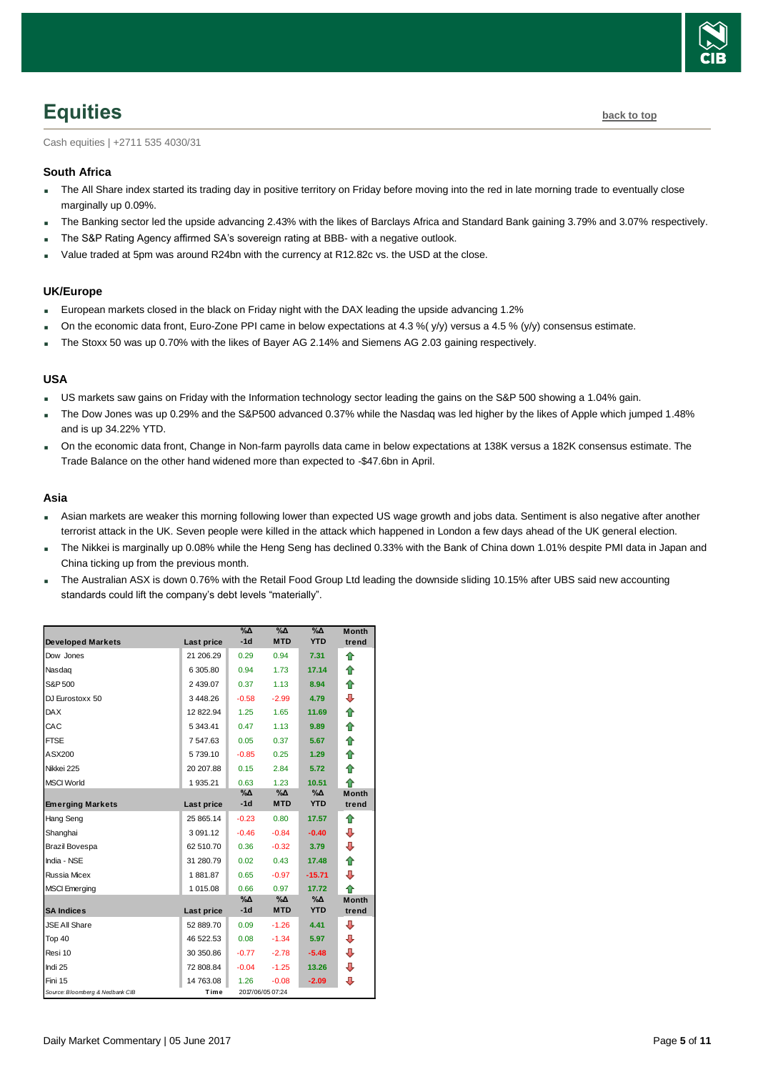

## <span id="page-4-0"></span>**Equities [back to top](#page-0-0)**

Cash equities | +2711 535 4030/31

#### **South Africa**

- The All Share index started its trading day in positive territory on Friday before moving into the red in late morning trade to eventually close marginally up 0.09%.
- The Banking sector led the upside advancing 2.43% with the likes of Barclays Africa and Standard Bank gaining 3.79% and 3.07% respectively.
- The S&P Rating Agency affirmed SA's sovereign rating at BBB- with a negative outlook.
- Value traded at 5pm was around R24bn with the currency at R12.82c vs. the USD at the close.

#### **UK/Europe**

- European markets closed in the black on Friday night with the DAX leading the upside advancing 1.2%
- On the economic data front, Euro-Zone PPI came in below expectations at 4.3 %( y/y) versus a 4.5 % (y/y) consensus estimate.
- The Stoxx 50 was up 0.70% with the likes of Bayer AG 2.14% and Siemens AG 2.03 gaining respectively.

#### **USA**

- US markets saw gains on Friday with the Information technology sector leading the gains on the S&P 500 showing a 1.04% gain.
- The Dow Jones was up 0.29% and the S&P500 advanced 0.37% while the Nasdaq was led higher by the likes of Apple which jumped 1.48% and is up 34.22% YTD.
- On the economic data front, Change in Non-farm payrolls data came in below expectations at 138K versus a 182K consensus estimate. The Trade Balance on the other hand widened more than expected to -\$47.6bn in April.

#### **Asia**

- Asian markets are weaker this morning following lower than expected US wage growth and jobs data. Sentiment is also negative after another terrorist attack in the UK. Seven people were killed in the attack which happened in London a few days ahead of the UK general election.
- The Nikkei is marginally up 0.08% while the Heng Seng has declined 0.33% with the Bank of China down 1.01% despite PMI data in Japan and China ticking up from the previous month.
- The Australian ASX is down 0.76% with the Retail Food Group Ltd leading the downside sliding 10.15% after UBS said new accounting standards could lift the company's debt levels "materially".

| <b>Developed Markets</b>        | Last price    | $\%$ $\Delta$<br>$-1d$ | $\%$ $\Delta$<br><b>MTD</b> | $\%$ $\Delta$<br><b>YTD</b> | <b>Month</b><br>trend |
|---------------------------------|---------------|------------------------|-----------------------------|-----------------------------|-----------------------|
| Dow Jones                       | 21 206.29     | 0.29                   | 0.94                        | 7.31                        | ⇑                     |
| Nasdag                          | 6 305.80      | 0.94                   | 1.73                        | 17.14                       | ⇮                     |
| S&P 500                         | 2 439.07      | 0.37                   | 1.13                        | 8.94                        | ♠                     |
| DJ Eurostoxx 50                 | 3448.26       | $-0.58$                | $-2.99$                     | 4.79                        | ⊕                     |
| <b>DAX</b>                      | 12 822.94     | 1.25                   | 1.65                        | 11.69                       | ⇑                     |
| CAC                             | 5 343.41      | 0.47                   | 1.13                        | 9.89                        | ♠                     |
| <b>FTSE</b>                     | 7 547.63      | 0.05                   | 0.37                        | 5.67                        | ♠                     |
| ASX200                          | 5739.10       | $-0.85$                | 0.25                        | 1.29                        | 合                     |
| Nikkei 225                      | 20 207.88     | 0.15                   | 2.84                        | 5.72                        | ⇑                     |
| <b>MSCI World</b>               | 1 935.21      | 0.63                   | 1.23                        | 10.51                       | ♠                     |
|                                 |               | $\% \Delta$            | %Δ                          | $\%$ $\Delta$               | <b>Month</b>          |
| <b>Emerging Markets</b>         | Last price    | $-1d$                  | <b>MTD</b>                  | <b>YTD</b>                  | trend                 |
| Hang Seng                       | 25 865.14     | $-0.23$                | 0.80                        | 17.57                       | ♠                     |
| Shanghai                        | 3 0 9 1 . 1 2 | $-0.46$                | $-0.84$                     | $-0.40$                     | ⊕                     |
| Brazil Bovespa                  | 62 510.70     | 0.36                   | $-0.32$                     | 3.79                        | ⊕                     |
| India - NSE                     | 31 280.79     | 0.02                   | 0.43                        | 17.48                       | ♠                     |
| <b>Russia Micex</b>             | 1881.87       | 0.65                   | $-0.97$                     | $-15.71$                    | ⊕                     |
| <b>MSCI</b> Emerging            | 1 015.08      | 0.66                   | 0.97                        | 17.72                       | ♠                     |
|                                 |               | $\% \Delta$            | %Δ                          | $\%$ $\Delta$               | <b>Month</b>          |
| <b>SA Indices</b>               | Last price    | $-1d$                  | <b>MTD</b>                  | <b>YTD</b>                  | trend                 |
| <b>JSE All Share</b>            | 52 889.70     | 0.09                   | $-1.26$                     | 4.41                        | ⊕                     |
| Top 40                          | 46 522.53     | 0.08                   | $-1.34$                     | 5.97                        | ⊕                     |
| Resi 10                         | 30 350.86     | $-0.77$                | $-2.78$                     | $-5.48$                     | ⊕                     |
| Indi 25                         | 72 808.84     | $-0.04$                | $-1.25$                     | 13.26                       | ⊕                     |
| Fini 15                         | 14 763.08     | 1.26                   | $-0.08$                     | $-2.09$                     | ⊕                     |
| Source: Bloomberg & Nedbank CIB | Time          |                        | 2017/06/05 07:24            |                             |                       |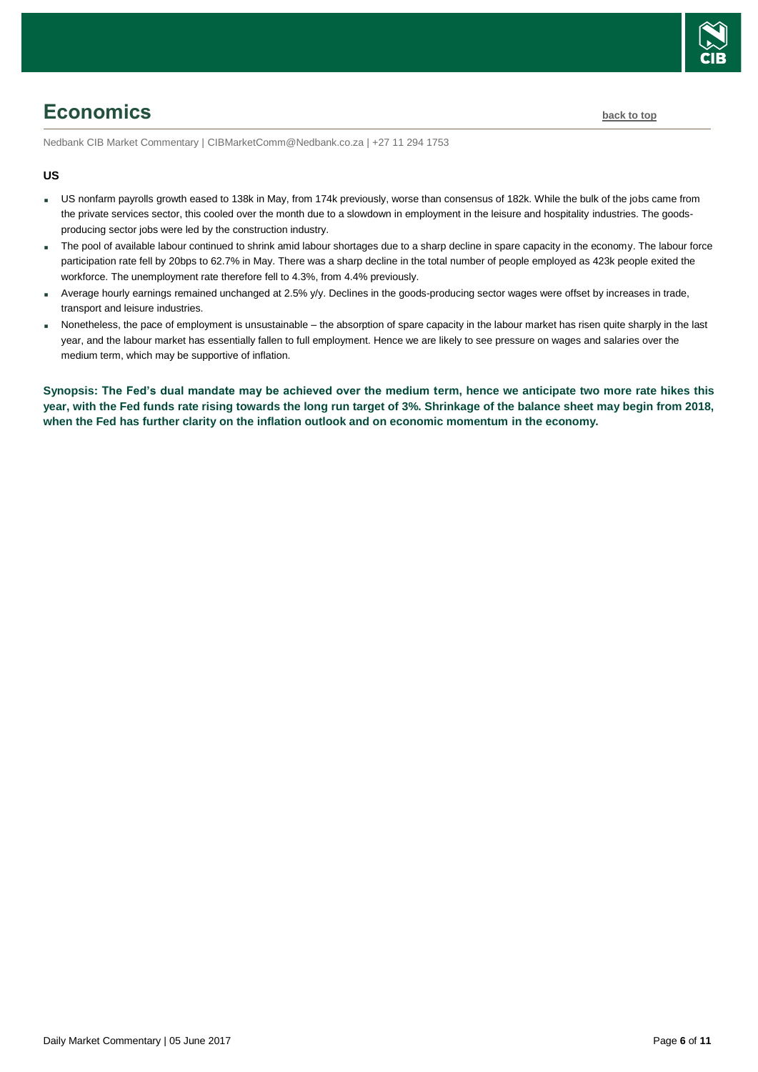

## <span id="page-5-0"></span>**Economics [back to top](#page-0-0)**

Nedbank CIB Market Commentary | CIBMarketComm@Nedbank.co.za | +27 11 294 1753

#### **US**

- US nonfarm payrolls growth eased to 138k in May, from 174k previously, worse than consensus of 182k. While the bulk of the jobs came from the private services sector, this cooled over the month due to a slowdown in employment in the leisure and hospitality industries. The goodsproducing sector jobs were led by the construction industry.
- The pool of available labour continued to shrink amid labour shortages due to a sharp decline in spare capacity in the economy. The labour force participation rate fell by 20bps to 62.7% in May. There was a sharp decline in the total number of people employed as 423k people exited the workforce. The unemployment rate therefore fell to 4.3%, from 4.4% previously.
- Average hourly earnings remained unchanged at 2.5%  $y/y$ . Declines in the goods-producing sector wages were offset by increases in trade, transport and leisure industries.
- Nonetheless, the pace of employment is unsustainable the absorption of spare capacity in the labour market has risen quite sharply in the last year, and the labour market has essentially fallen to full employment. Hence we are likely to see pressure on wages and salaries over the medium term, which may be supportive of inflation.

**Synopsis: The Fed's dual mandate may be achieved over the medium term, hence we anticipate two more rate hikes this year, with the Fed funds rate rising towards the long run target of 3%. Shrinkage of the balance sheet may begin from 2018, when the Fed has further clarity on the inflation outlook and on economic momentum in the economy.**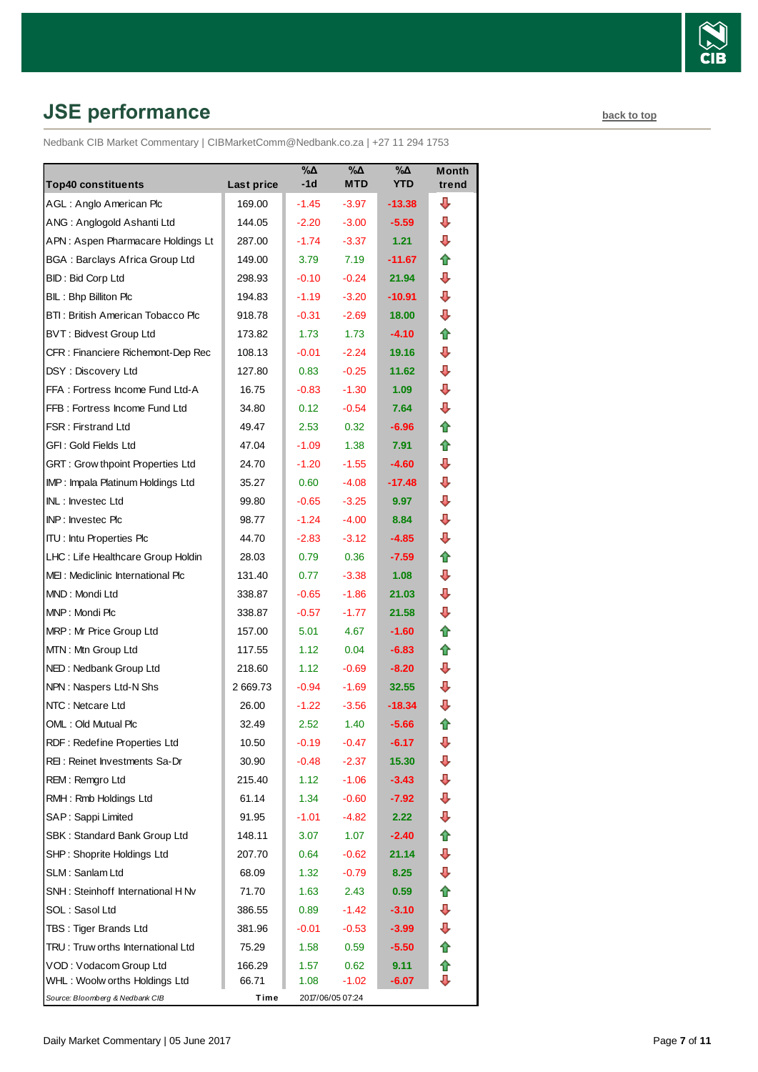

# <span id="page-6-0"></span>**JSE performance [back to top](#page-0-0)**

Nedbank CIB Market Commentary | CIBMarketComm@Nedbank.co.za | +27 11 294 1753

|                                                            |                  | $\sqrt{20}$        | $\sqrt{20}$      | $\sqrt{2}$      | <b>Month</b> |
|------------------------------------------------------------|------------------|--------------------|------------------|-----------------|--------------|
| <b>Top40 constituents</b>                                  | Last price       | -1d                | <b>MTD</b>       | <b>YTD</b>      | trend        |
| AGL: Anglo American Plc                                    | 169.00           | $-1.45$            | $-3.97$          | $-13.38$        | ⊕<br>⊕       |
| ANG: Anglogold Ashanti Ltd                                 | 144.05           | $-2.20$<br>$-1.74$ | $-3.00$          | $-5.59$<br>1.21 | ⇩            |
| APN: Aspen Pharmacare Holdings Lt                          | 287.00           |                    | $-3.37$<br>7.19  | $-11.67$        |              |
| <b>BGA: Barclays Africa Group Ltd</b>                      | 149.00           | 3.79               | $-0.24$          | 21.94           | ✿<br>⇩       |
| <b>BID: Bid Corp Ltd</b>                                   | 298.93           | $-0.10$            | $-3.20$          |                 | ⊕            |
| BIL: Bhp Billiton Plc<br>BTI: British American Tobacco Plc | 194.83<br>918.78 | $-1.19$<br>$-0.31$ | $-2.69$          | -10.91<br>18.00 | ⇩            |
| <b>BVT: Bidvest Group Ltd</b>                              | 173.82           | 1.73               | 1.73             | $-4.10$         | ⇑            |
| CFR: Financiere Richemont-Dep Rec                          | 108.13           | $-0.01$            | $-2.24$          | 19.16           | ⊕            |
| DSY: Discovery Ltd                                         | 127.80           | 0.83               | $-0.25$          | 11.62           | ⇩            |
| FFA: Fortress Income Fund Ltd-A                            | 16.75            | $-0.83$            | $-1.30$          | 1.09            | ⇩            |
| FFB: Fortress Income Fund Ltd                              | 34.80            | 0.12               | $-0.54$          | 7.64            | ⇩            |
| <b>FSR: Firstrand Ltd</b>                                  | 49.47            | 2.53               | 0.32             | $-6.96$         | ⇑            |
| GFI: Gold Fields Ltd                                       | 47.04            | $-1.09$            | 1.38             | 7.91            | ⇮            |
| GRT : Grow thpoint Properties Ltd                          | 24.70            | $-1.20$            | $-1.55$          | $-4.60$         | ⇩            |
| IMP: Impala Platinum Holdings Ltd                          | 35.27            | 0.60               | $-4.08$          | $-17.48$        | ⊕            |
| INL: Investec Ltd                                          | 99.80            | $-0.65$            | $-3.25$          | 9.97            | ⇩            |
| INP: Investec Plc                                          | 98.77            | $-1.24$            | $-4.00$          | 8.84            | ⇩            |
| <b>ITU: Intu Properties Plc</b>                            | 44.70            | $-2.83$            | $-3.12$          | $-4.85$         | ⇩            |
| LHC: Life Healthcare Group Holdin                          | 28.03            | 0.79               | 0.36             | $-7.59$         | ⇑            |
| MEI: Mediclinic International Plc                          | 131.40           | 0.77               | $-3.38$          | 1.08            | ⊕            |
| MND: Mondi Ltd                                             | 338.87           | $-0.65$            | $-1.86$          | 21.03           | ⇩            |
| MNP: Mondi Plc                                             | 338.87           | $-0.57$            | $-1.77$          | 21.58           | ⇩            |
| MRP: Mr Price Group Ltd                                    | 157.00           | 5.01               | 4.67             | $-1.60$         | ⇑            |
| MTN: Mtn Group Ltd                                         | 117.55           | 1.12               | 0.04             | $-6.83$         | ⇑            |
| NED: Nedbank Group Ltd                                     | 218.60           | 1.12               | $-0.69$          | $-8.20$         | ⇩            |
| NPN: Naspers Ltd-N Shs                                     | 2669.73          | $-0.94$            | $-1.69$          | 32.55           | ⇩            |
| NTC: Netcare Ltd                                           | 26.00            | $-1.22$            | $-3.56$          | $-18.34$        | ⇩            |
| OML: Old Mutual Plc                                        | 32.49            | 2.52               | 1.40             | $-5.66$         | ✿            |
| RDF: Redefine Properties Ltd                               | 10.50            | $-0.19$            | -0.47            | -6.17           | ⇩            |
| REI: Reinet Investments Sa-Dr                              | 30.90            | $-0.48$            | $-2.37$          | 15.30           | ⇩            |
| REM: Remgro Ltd                                            | 215.40           | 1.12               | $-1.06$          | $-3.43$         | ⊕            |
| RMH: Rmb Holdings Ltd                                      | 61.14            | 1.34               | $-0.60$          | $-7.92$         | ⇩            |
| SAP: Sappi Limited                                         | 91.95            | $-1.01$            | -4.82            | 2.22            | ⇩            |
| SBK: Standard Bank Group Ltd                               | 148.11           | 3.07               | 1.07             | $-2.40$         | ⇑            |
| SHP: Shoprite Holdings Ltd                                 | 207.70           | 0.64               | $-0.62$          | 21.14           | ⇩            |
| SLM: Sanlam Ltd                                            | 68.09            | 1.32               | $-0.79$          | 8.25            | ⇩            |
| SNH: Steinhoff International H Nv                          | 71.70            | 1.63               | 2.43             | 0.59            | ⇑            |
| SOL: Sasol Ltd                                             | 386.55           | 0.89               | $-1.42$          | $-3.10$         | ⊕            |
| TBS: Tiger Brands Ltd                                      | 381.96           | $-0.01$            | $-0.53$          | $-3.99$         | ⊕            |
| TRU: Truw orths International Ltd                          | 75.29            | 1.58               | 0.59             | $-5.50$         | ⇮            |
| VOD: Vodacom Group Ltd                                     | 166.29           | 1.57               | 0.62             | 9.11            | ⇑            |
| WHL: Woolw orths Holdings Ltd                              | 66.71            | 1.08               | $-1.02$          | -6.07           | ⇩            |
| Source: Bloomberg & Nedbank CIB                            | Time             |                    | 2017/06/05 07:24 |                 |              |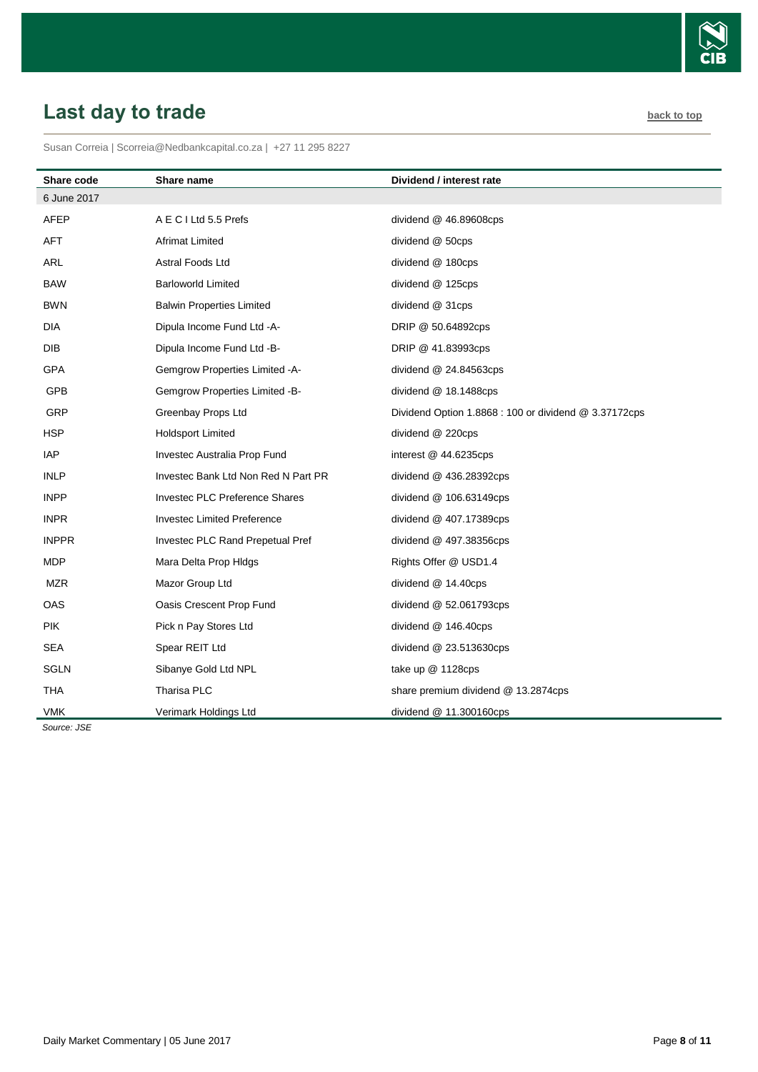

# <span id="page-7-0"></span>Last day to trade **[back to top](#page-0-0)**

Susan Correia [| Scorreia@Nedbankcapital.co.za](mailto:Scorreia@Nedbankcapital.co.za) | +27 11 295 8227

| <b>Share code</b> | Share name                            | Dividend / interest rate                              |
|-------------------|---------------------------------------|-------------------------------------------------------|
| 6 June 2017       |                                       |                                                       |
| AFEP              | A E C I Ltd 5.5 Prefs                 | dividend @ 46.89608cps                                |
| <b>AFT</b>        | Afrimat Limited                       | dividend @ 50cps                                      |
| ARL               | Astral Foods Ltd                      | dividend @ 180cps                                     |
| <b>BAW</b>        | <b>Barloworld Limited</b>             | dividend @ 125cps                                     |
| <b>BWN</b>        | <b>Balwin Properties Limited</b>      | dividend @ 31cps                                      |
| <b>DIA</b>        | Dipula Income Fund Ltd -A-            | DRIP @ 50.64892cps                                    |
| <b>DIB</b>        | Dipula Income Fund Ltd -B-            | DRIP @ 41.83993cps                                    |
| <b>GPA</b>        | Gemgrow Properties Limited -A-        | dividend @ 24.84563cps                                |
| GPB               | Gemgrow Properties Limited -B-        | dividend @ 18.1488cps                                 |
| GRP               | Greenbay Props Ltd                    | Dividend Option 1.8868 : 100 or dividend @ 3.37172cps |
| <b>HSP</b>        | Holdsport Limited                     | dividend @ 220cps                                     |
| <b>IAP</b>        | Investec Australia Prop Fund          | interest $@$ 44.6235cps                               |
| <b>INLP</b>       | Investec Bank Ltd Non Red N Part PR   | dividend @ 436.28392cps                               |
| <b>INPP</b>       | <b>Investec PLC Preference Shares</b> | dividend @ 106.63149cps                               |
| <b>INPR</b>       | <b>Investec Limited Preference</b>    | dividend @ 407.17389cps                               |
| <b>INPPR</b>      | Investec PLC Rand Prepetual Pref      | dividend $@$ 497.38356cps                             |
| <b>MDP</b>        | Mara Delta Prop Hidgs                 | Rights Offer @ USD1.4                                 |
| <b>MZR</b>        | Mazor Group Ltd                       | dividend @ 14.40cps                                   |
| <b>OAS</b>        | Oasis Crescent Prop Fund              | dividend @ 52.061793cps                               |
| <b>PIK</b>        | Pick n Pay Stores Ltd                 | dividend @ 146.40cps                                  |
| <b>SEA</b>        | Spear REIT Ltd                        | dividend @ 23.513630cps                               |
| <b>SGLN</b>       | Sibanye Gold Ltd NPL                  | take up @ 1128cps                                     |
| <b>THA</b>        | Tharisa PLC                           | share premium dividend @ 13.2874cps                   |
| <b>VMK</b>        | Verimark Holdings Ltd                 | dividend @ 11.300160cps                               |

 *Source: JSE*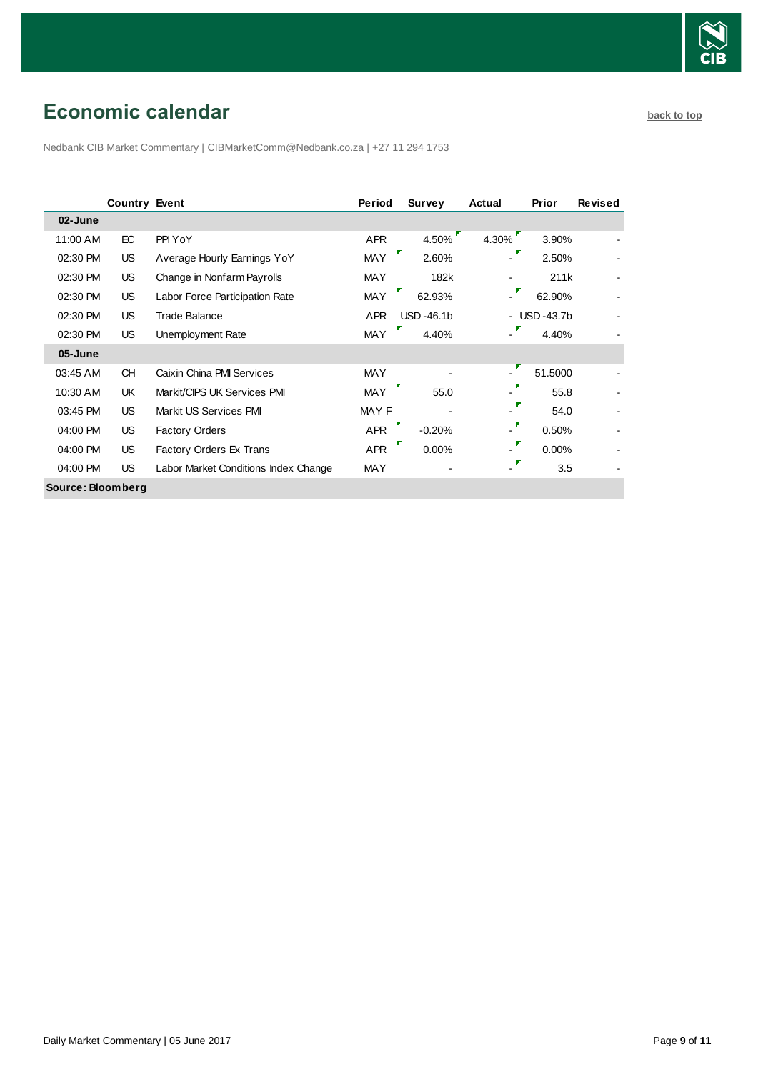

# <span id="page-8-0"></span>**Economic calendar [back to top](#page-0-0) back to top**

Nedbank CIB Market Commentary | CIBMarketComm@Nedbank.co.za | +27 11 294 1753

|                   | <b>Country Event</b> |                                      | Period     | <b>Survey</b> | Actual                   | Prior       | <b>Revised</b> |
|-------------------|----------------------|--------------------------------------|------------|---------------|--------------------------|-------------|----------------|
| 02-June           |                      |                                      |            |               |                          |             |                |
| 11:00 AM          | EC                   | PPI YoY                              | <b>APR</b> | 4.50%         | 4.30%                    | 3.90%       |                |
| 02:30 PM          | US.                  | Average Hourly Earnings YoY          | <b>MAY</b> | 2.60%         |                          | 2.50%       |                |
| 02:30 PM          | US.                  | Change in Nonfarm Payrolls           | <b>MAY</b> | 182k          |                          | 211k        |                |
| 02:30 PM          | US.                  | Labor Force Participation Rate       | <b>MAY</b> | 62.93%        | Г<br>$\blacksquare$      | 62.90%      |                |
| 02:30 PM          | US.                  | Trade Balance                        | <b>APR</b> | $USD -46.1b$  |                          | - USD-43.7b |                |
| 02:30 PM          | US.                  | Unemployment Rate                    | <b>MAY</b> | 4.40%         | $\blacksquare$           | 4.40%       |                |
| 05-June           |                      |                                      |            |               |                          |             |                |
| 03:45 AM          | <b>CH</b>            | Caixin China PMI Services            | <b>MAY</b> |               | $\blacksquare$           | 51.5000     |                |
| 10:30 AM          | UK.                  | Markit/CIPS UK Services PMI          | <b>MAY</b> | Г<br>55.0     | $\overline{\phantom{0}}$ | 55.8        |                |
| 03:45 PM          | US.                  | Markit US Services PMI               | MAY F      |               | Γ                        | 54.0        |                |
| 04:00 PM          | US.                  | <b>Factory Orders</b>                | <b>APR</b> | $-0.20%$      | $\overline{\phantom{0}}$ | 0.50%       |                |
| 04:00 PM          | US.                  | Factory Orders Ex Trans              | <b>APR</b> | 0.00%         | Γ<br>$\blacksquare$      | 0.00%       |                |
| 04:00 PM          | US.                  | Labor Market Conditions Index Change | <b>MAY</b> |               | Г                        | 3.5         |                |
| Source: Bloomberg |                      |                                      |            |               |                          |             |                |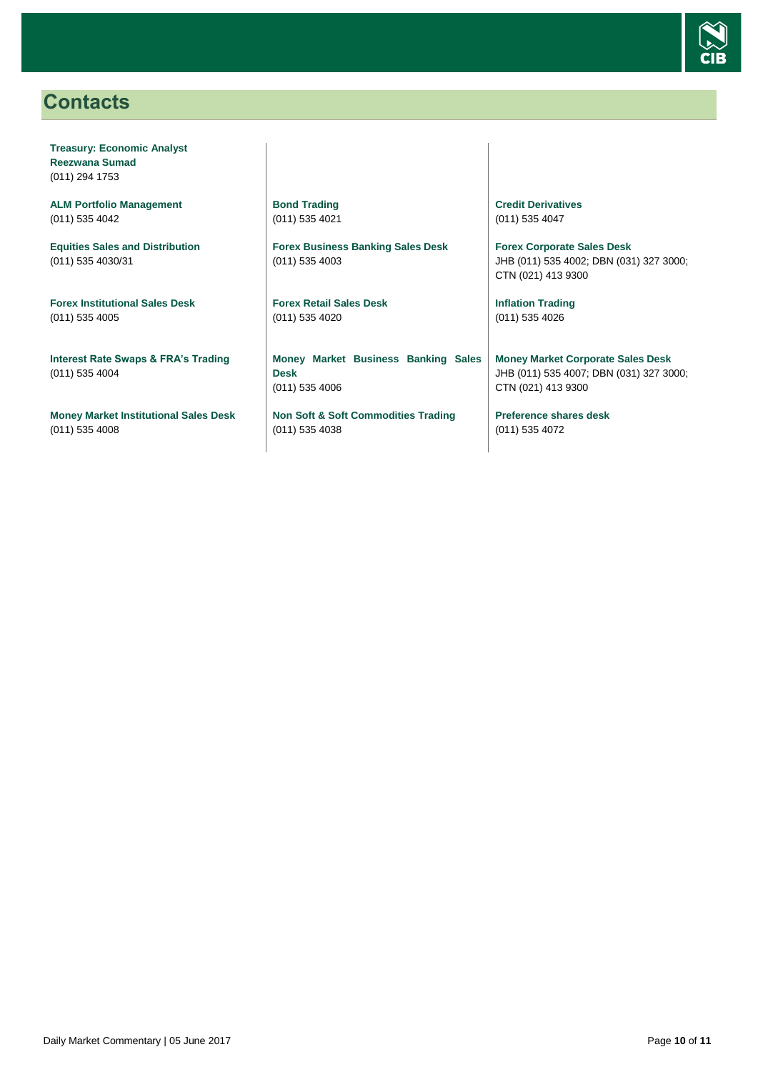

## <span id="page-9-0"></span>**Contacts**

**Treasury: Economic Analyst Reezwana Sumad** (011) 294 1753

**ALM Portfolio Management** (011) 535 4042

**Equities Sales and Distribution** (011) 535 4030/31

**Forex Institutional Sales Desk** (011) 535 4005

**Interest Rate Swaps & FRA's Trading** (011) 535 4004

**Money Market Institutional Sales Desk** (011) 535 4008

**Bond Trading** (011) 535 4021

**Forex Business Banking Sales Desk** (011) 535 4003

**Forex Retail Sales Desk** (011) 535 4020

**Money Market Business Banking Sales Desk** (011) 535 4006

**Non Soft & Soft Commodities Trading** (011) 535 4038

**Credit Derivatives**  (011) 535 4047

**Forex Corporate Sales Desk** JHB (011) 535 4002; DBN (031) 327 3000; CTN (021) 413 9300

**Inflation Trading** (011) 535 4026

**Money Market Corporate Sales Desk** JHB (011) 535 4007; DBN (031) 327 3000; CTN (021) 413 9300

**Preference shares desk** (011) 535 4072